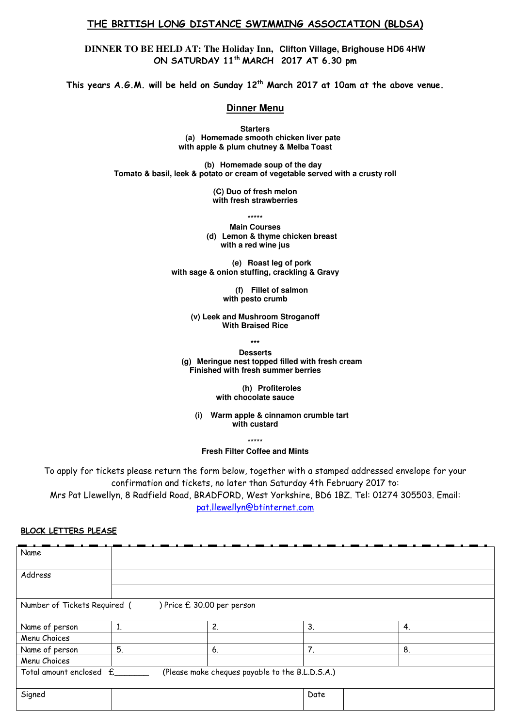## THE BRITISH LONG DISTANCE SWIMMING ASSOCIATION (BLDSA)

**DINNER TO BE HELD AT: The Holiday Inn, Clifton Village, Brighouse HD6 4HW** ON SATURDAY 11<sup>th</sup> MARCH 2017 AT 6.30 pm

This years  $A. G.M.$  will be held on Sunday  $12<sup>th</sup>$  March 2017 at 10am at the above venue.

### **Dinner Menu**

**Starters (a) Homemade smooth chicken liver pate with apple & plum chutney & Melba Toast** 

**(b) Homemade soup of the day Tomato & basil, leek & potato or cream of vegetable served with a crusty roll** 

> **(C) Duo of fresh melon with fresh strawberries**

> > **\*\*\*\*\***

**Main Courses (d) Lemon & thyme chicken breast with a red wine jus** 

**(e) Roast leg of pork with sage & onion stuffing, crackling & Gravy** 

> **(f) Fillet of salmon with pesto crumb**

**(v) Leek and Mushroom Stroganoff With Braised Rice** 

**\*\*\***

**Desserts (g) Meringue nest topped filled with fresh cream Finished with fresh summer berries** 

> **(h) Profiteroles with chocolate sauce**

**(i) Warm apple & cinnamon crumble tart with custard** 

**\*\*\*\*\*** 

**Fresh Filter Coffee and Mints** 

To apply for tickets please return the form below, together with a stamped addressed envelope for your confirmation and tickets, no later than Saturday 4th February 2017 to: Mrs Pat Llewellyn, 8 Radfield Road, BRADFORD, West Yorkshire, BD6 1BZ. Tel: 01274 305503. Email: pat.llewellyn@btinternet.com

#### BLOCK LETTERS PLEASE

| Name                                                                       |    |    |      |    |
|----------------------------------------------------------------------------|----|----|------|----|
|                                                                            |    |    |      |    |
| Address                                                                    |    |    |      |    |
|                                                                            |    |    |      |    |
| ) Price £ 30.00 per person<br>Number of Tickets Required (                 |    |    |      |    |
|                                                                            |    |    |      |    |
| Name of person                                                             | 1. | 2. | 3.   | 4. |
| Menu Choices                                                               |    |    |      |    |
| Name of person                                                             | 5. | 6. | 7.   | 8. |
| Menu Choices                                                               |    |    |      |    |
| (Please make cheques payable to the B.L.D.S.A.)<br>Total amount enclosed £ |    |    |      |    |
|                                                                            |    |    |      |    |
| Signed                                                                     |    |    | Date |    |
|                                                                            |    |    |      |    |